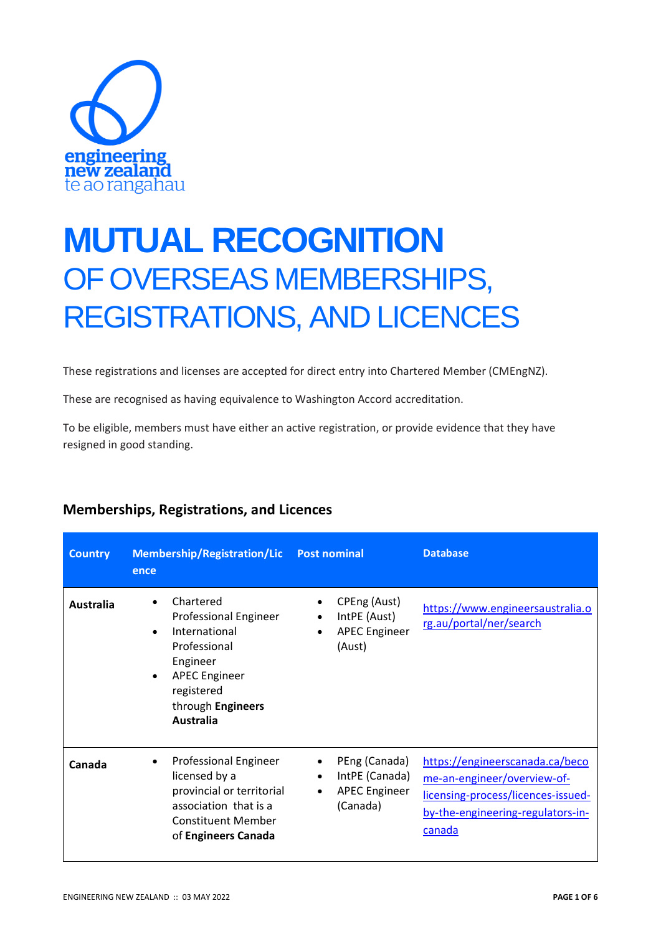

## **MUTUAL RECOGNITION** OF OVERSEAS MEMBERSHIPS, REGISTRATIONS, AND LICENCES

These registrations and licenses are accepted for direct entry into Chartered Member (CMEngNZ).

These are recognised as having equivalence to Washington Accord accreditation.

To be eligible, members must have either an active registration, or provide evidence that they have resigned in good standing.

| <b>Country</b> | <b>Membership/Registration/Lic</b><br>ence                                                                                                                           | <b>Post nominal</b>                                                                                        | <b>Database</b>                                                                                                                                     |
|----------------|----------------------------------------------------------------------------------------------------------------------------------------------------------------------|------------------------------------------------------------------------------------------------------------|-----------------------------------------------------------------------------------------------------------------------------------------------------|
| Australia      | Chartered<br>Professional Engineer<br>International<br>Professional<br>Engineer<br><b>APEC Engineer</b><br>$\bullet$<br>registered<br>through Engineers<br>Australia | CPEng (Aust)<br>IntPE (Aust)<br>$\bullet$<br><b>APEC Engineer</b><br>$\bullet$<br>(Aust)                   | https://www.engineersaustralia.o<br>rg.au/portal/ner/search                                                                                         |
| Canada         | <b>Professional Engineer</b><br>$\bullet$<br>licensed by a<br>provincial or territorial<br>association that is a<br><b>Constituent Member</b><br>of Engineers Canada | PEng (Canada)<br>$\bullet$<br>IntPE (Canada)<br>$\bullet$<br><b>APEC Engineer</b><br>$\bullet$<br>(Canada) | https://engineerscanada.ca/beco<br>me-an-engineer/overview-of-<br>licensing-process/licences-issued-<br>by-the-engineering-regulators-in-<br>canada |

## **Memberships, Registrations, and Licences**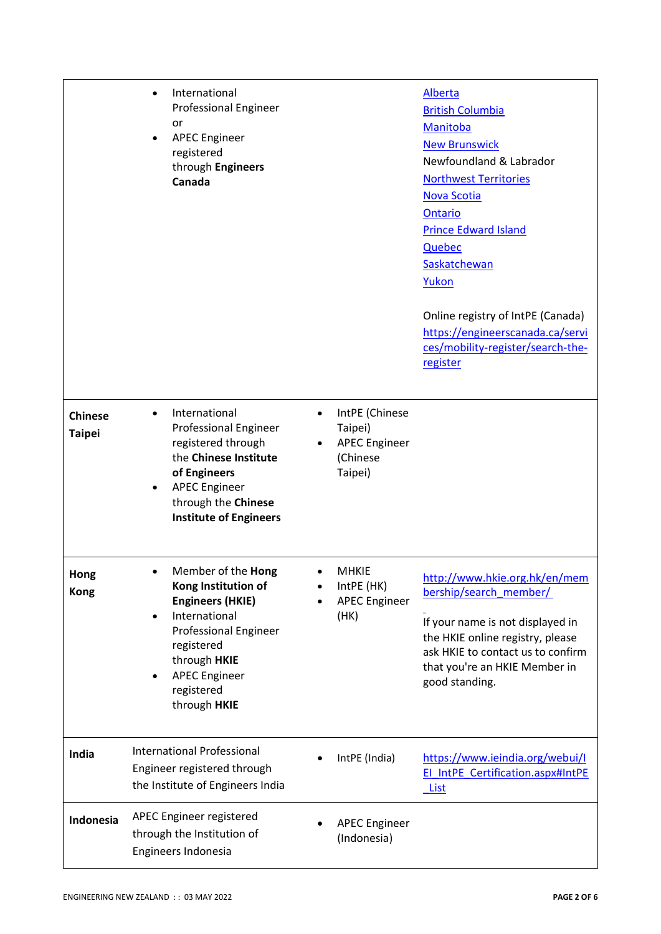|                                 | International<br><b>Professional Engineer</b><br>or<br><b>APEC Engineer</b><br>registered<br>through Engineers<br>Canada                                                                                         |                                                                          | <b>Alberta</b><br><b>British Columbia</b><br>Manitoba<br><b>New Brunswick</b><br>Newfoundland & Labrador<br><b>Northwest Territories</b><br><b>Nova Scotia</b><br>Ontario<br><b>Prince Edward Island</b><br>Quebec<br>Saskatchewan<br>Yukon<br>Online registry of IntPE (Canada)<br>https://engineerscanada.ca/servi<br>ces/mobility-register/search-the-<br>register |
|---------------------------------|------------------------------------------------------------------------------------------------------------------------------------------------------------------------------------------------------------------|--------------------------------------------------------------------------|-----------------------------------------------------------------------------------------------------------------------------------------------------------------------------------------------------------------------------------------------------------------------------------------------------------------------------------------------------------------------|
| <b>Chinese</b><br><b>Taipei</b> | International<br><b>Professional Engineer</b><br>registered through<br>the Chinese Institute<br>of Engineers<br><b>APEC Engineer</b><br>$\bullet$<br>through the Chinese<br><b>Institute of Engineers</b>        | IntPE (Chinese<br>Taipei)<br><b>APEC Engineer</b><br>(Chinese<br>Taipei) |                                                                                                                                                                                                                                                                                                                                                                       |
| Hong<br><b>Kong</b>             | Member of the <b>Hong</b><br>Kong Institution of<br><b>Engineers (HKIE)</b><br>International<br><b>Professional Engineer</b><br>registered<br>through HKIE<br><b>APEC Engineer</b><br>registered<br>through HKIE | <b>MHKIE</b><br>IntPE (HK)<br><b>APEC Engineer</b><br>(HK)               | http://www.hkie.org.hk/en/mem<br>bership/search member/<br>If your name is not displayed in<br>the HKIE online registry, please<br>ask HKIE to contact us to confirm<br>that you're an HKIE Member in<br>good standing.                                                                                                                                               |
| India                           | <b>International Professional</b><br>Engineer registered through<br>the Institute of Engineers India                                                                                                             | IntPE (India)                                                            | https://www.ieindia.org/webui/l<br>El IntPE Certification.aspx#IntPE<br><b>List</b>                                                                                                                                                                                                                                                                                   |
| Indonesia                       | APEC Engineer registered<br>through the Institution of<br>Engineers Indonesia                                                                                                                                    | <b>APEC Engineer</b><br>(Indonesia)                                      |                                                                                                                                                                                                                                                                                                                                                                       |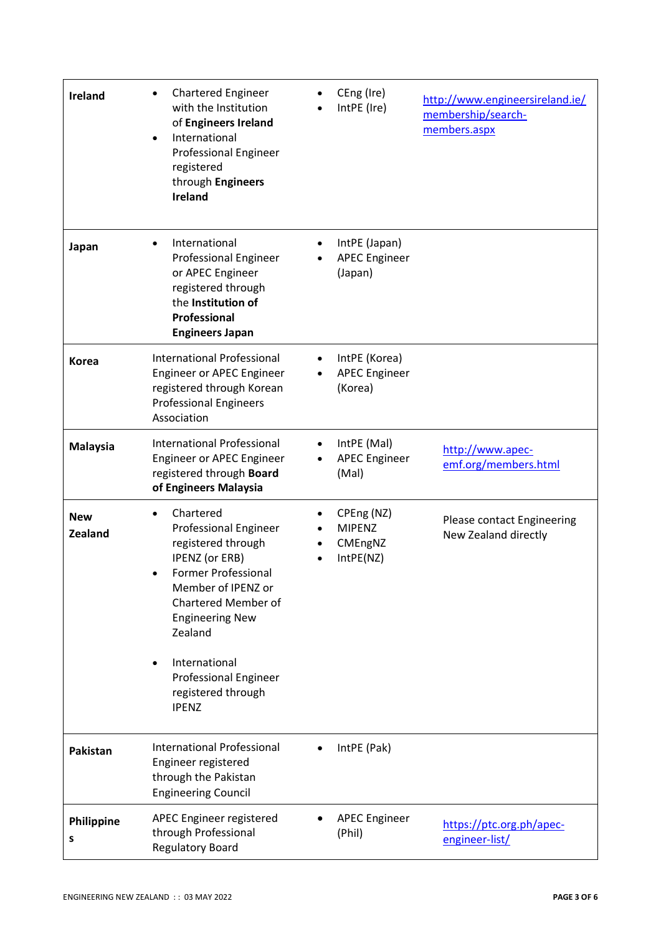| <b>Ireland</b>               | <b>Chartered Engineer</b><br>with the Institution<br>of Engineers Ireland<br>International<br><b>Professional Engineer</b><br>registered<br>through Engineers<br><b>Ireland</b>                                                                                            |           | CEng (Ire)<br>IntPE (Ire)                           | http://www.engineersireland.ie/<br>membership/search-<br>members.aspx |
|------------------------------|----------------------------------------------------------------------------------------------------------------------------------------------------------------------------------------------------------------------------------------------------------------------------|-----------|-----------------------------------------------------|-----------------------------------------------------------------------|
| Japan                        | International<br>Professional Engineer<br>or APEC Engineer<br>registered through<br>the Institution of<br>Professional<br><b>Engineers Japan</b>                                                                                                                           |           | IntPE (Japan)<br><b>APEC Engineer</b><br>(Japan)    |                                                                       |
| <b>Korea</b>                 | <b>International Professional</b><br>Engineer or APEC Engineer<br>registered through Korean<br><b>Professional Engineers</b><br>Association                                                                                                                                |           | IntPE (Korea)<br><b>APEC Engineer</b><br>(Korea)    |                                                                       |
| <b>Malaysia</b>              | <b>International Professional</b><br>Engineer or APEC Engineer<br>registered through Board<br>of Engineers Malaysia                                                                                                                                                        | $\bullet$ | IntPE (Mal)<br><b>APEC Engineer</b><br>(Mal)        | http://www.apec-<br>emf.org/members.html                              |
| <b>New</b><br><b>Zealand</b> | Chartered<br>Professional Engineer<br>registered through<br>IPENZ (or ERB)<br>Former Professional<br>Member of IPENZ or<br>Chartered Member of<br><b>Engineering New</b><br>Zealand<br>International<br><b>Professional Engineer</b><br>registered through<br><b>IPENZ</b> |           | CPEng (NZ)<br><b>MIPENZ</b><br>CMEngNZ<br>IntPE(NZ) | Please contact Engineering<br>New Zealand directly                    |
| Pakistan                     | International Professional<br>Engineer registered<br>through the Pakistan<br><b>Engineering Council</b>                                                                                                                                                                    |           | IntPE (Pak)                                         |                                                                       |
| Philippine<br>S              | APEC Engineer registered<br>through Professional<br><b>Regulatory Board</b>                                                                                                                                                                                                |           | <b>APEC Engineer</b><br>(Phil)                      | https://ptc.org.ph/apec-<br>engineer-list/                            |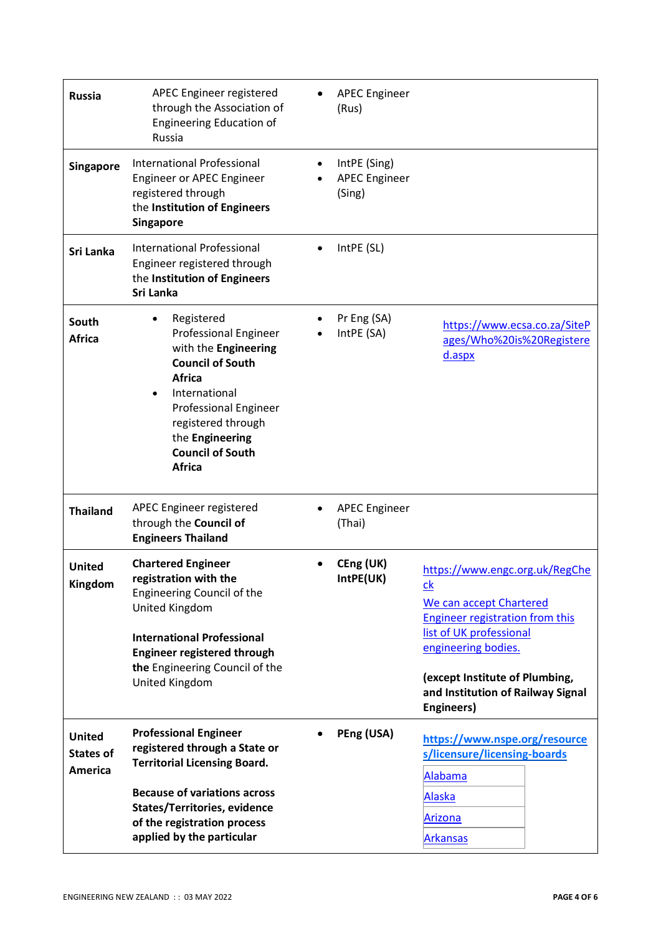| <b>Russia</b>                                | APEC Engineer registered<br>through the Association of<br><b>Engineering Education of</b><br>Russia                                                                                                                                                  |           | <b>APEC Engineer</b><br>(Rus)                  |                                                                                                                                                                                                                                                                |
|----------------------------------------------|------------------------------------------------------------------------------------------------------------------------------------------------------------------------------------------------------------------------------------------------------|-----------|------------------------------------------------|----------------------------------------------------------------------------------------------------------------------------------------------------------------------------------------------------------------------------------------------------------------|
| <b>Singapore</b>                             | International Professional<br>Engineer or APEC Engineer<br>registered through<br>the Institution of Engineers<br><b>Singapore</b>                                                                                                                    | $\bullet$ | IntPE (Sing)<br><b>APEC Engineer</b><br>(Sing) |                                                                                                                                                                                                                                                                |
| Sri Lanka                                    | <b>International Professional</b><br>Engineer registered through<br>the Institution of Engineers<br>Sri Lanka                                                                                                                                        |           | IntPE (SL)                                     |                                                                                                                                                                                                                                                                |
| South<br><b>Africa</b>                       | Registered<br><b>Professional Engineer</b><br>with the Engineering<br><b>Council of South</b><br><b>Africa</b><br>International<br><b>Professional Engineer</b><br>registered through<br>the Engineering<br><b>Council of South</b><br><b>Africa</b> |           | Pr Eng (SA)<br>IntPE (SA)                      | https://www.ecsa.co.za/SiteP<br>ages/Who%20is%20Registere<br>d.aspx                                                                                                                                                                                            |
| <b>Thailand</b>                              | APEC Engineer registered<br>through the Council of<br><b>Engineers Thailand</b>                                                                                                                                                                      |           | <b>APEC Engineer</b><br>(Thai)                 |                                                                                                                                                                                                                                                                |
| United<br>Kingdom                            | <b>Chartered Engineer</b><br>registration with the<br><b>Engineering Council of the</b><br>United Kingdom<br><b>International Professional</b><br><b>Engineer registered through</b><br>the Engineering Council of the<br>United Kingdom             |           | CEng (UK)<br>IntPE(UK)                         | https://www.engc.org.uk/RegChe<br>$\underline{ck}$<br>We can accept Chartered<br><b>Engineer registration from this</b><br>list of UK professional<br>engineering bodies.<br>(except Institute of Plumbing,<br>and Institution of Railway Signal<br>Engineers) |
| <b>United</b><br><b>States of</b><br>America | <b>Professional Engineer</b><br>registered through a State or<br><b>Territorial Licensing Board.</b><br><b>Because of variations across</b><br><b>States/Territories, evidence</b><br>of the registration process<br>applied by the particular       |           | PEng (USA)                                     | https://www.nspe.org/resource<br>s/licensure/licensing-boards<br>Alabama<br><b>Alaska</b><br>Arizona<br><b>Arkansas</b>                                                                                                                                        |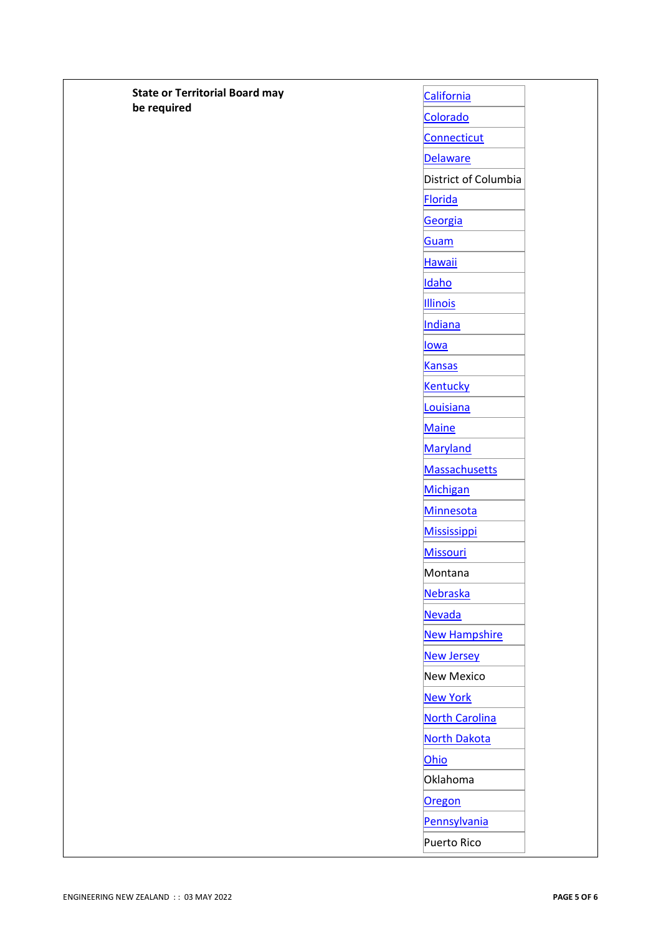| <b>State or Territorial Board may</b><br>California<br>be required<br>Colorado<br>Connecticut<br>Delaware<br>District of Columbia<br>Florida<br>Georgia<br>Guam<br><b>Hawaii</b><br>Idaho<br><b>Illinois</b><br>Indiana<br><b>lowa</b><br><b>Kansas</b><br><b>Kentucky</b><br>Louisiana<br><b>Maine</b><br>Maryland<br>Massachusetts<br>Michigan<br>Minnesota<br><b>Mississippi</b><br><b>Missouri</b><br>Montana<br>Nebraska<br>Nevada<br><b>New Hampshire</b><br><b>New Jersey</b><br>New Mexico<br><b>New York</b><br><b>North Carolina</b><br><b>North Dakota</b><br>Ohio<br>Oklahoma<br>Oregon<br>Pennsylvania<br>Puerto Rico |  |
|------------------------------------------------------------------------------------------------------------------------------------------------------------------------------------------------------------------------------------------------------------------------------------------------------------------------------------------------------------------------------------------------------------------------------------------------------------------------------------------------------------------------------------------------------------------------------------------------------------------------------------|--|
|                                                                                                                                                                                                                                                                                                                                                                                                                                                                                                                                                                                                                                    |  |
|                                                                                                                                                                                                                                                                                                                                                                                                                                                                                                                                                                                                                                    |  |
|                                                                                                                                                                                                                                                                                                                                                                                                                                                                                                                                                                                                                                    |  |
|                                                                                                                                                                                                                                                                                                                                                                                                                                                                                                                                                                                                                                    |  |
|                                                                                                                                                                                                                                                                                                                                                                                                                                                                                                                                                                                                                                    |  |
|                                                                                                                                                                                                                                                                                                                                                                                                                                                                                                                                                                                                                                    |  |
|                                                                                                                                                                                                                                                                                                                                                                                                                                                                                                                                                                                                                                    |  |
|                                                                                                                                                                                                                                                                                                                                                                                                                                                                                                                                                                                                                                    |  |
|                                                                                                                                                                                                                                                                                                                                                                                                                                                                                                                                                                                                                                    |  |
|                                                                                                                                                                                                                                                                                                                                                                                                                                                                                                                                                                                                                                    |  |
|                                                                                                                                                                                                                                                                                                                                                                                                                                                                                                                                                                                                                                    |  |
|                                                                                                                                                                                                                                                                                                                                                                                                                                                                                                                                                                                                                                    |  |
|                                                                                                                                                                                                                                                                                                                                                                                                                                                                                                                                                                                                                                    |  |
|                                                                                                                                                                                                                                                                                                                                                                                                                                                                                                                                                                                                                                    |  |
|                                                                                                                                                                                                                                                                                                                                                                                                                                                                                                                                                                                                                                    |  |
|                                                                                                                                                                                                                                                                                                                                                                                                                                                                                                                                                                                                                                    |  |
|                                                                                                                                                                                                                                                                                                                                                                                                                                                                                                                                                                                                                                    |  |
|                                                                                                                                                                                                                                                                                                                                                                                                                                                                                                                                                                                                                                    |  |
|                                                                                                                                                                                                                                                                                                                                                                                                                                                                                                                                                                                                                                    |  |
|                                                                                                                                                                                                                                                                                                                                                                                                                                                                                                                                                                                                                                    |  |
|                                                                                                                                                                                                                                                                                                                                                                                                                                                                                                                                                                                                                                    |  |
|                                                                                                                                                                                                                                                                                                                                                                                                                                                                                                                                                                                                                                    |  |
|                                                                                                                                                                                                                                                                                                                                                                                                                                                                                                                                                                                                                                    |  |
|                                                                                                                                                                                                                                                                                                                                                                                                                                                                                                                                                                                                                                    |  |
|                                                                                                                                                                                                                                                                                                                                                                                                                                                                                                                                                                                                                                    |  |
|                                                                                                                                                                                                                                                                                                                                                                                                                                                                                                                                                                                                                                    |  |
|                                                                                                                                                                                                                                                                                                                                                                                                                                                                                                                                                                                                                                    |  |
|                                                                                                                                                                                                                                                                                                                                                                                                                                                                                                                                                                                                                                    |  |
|                                                                                                                                                                                                                                                                                                                                                                                                                                                                                                                                                                                                                                    |  |
|                                                                                                                                                                                                                                                                                                                                                                                                                                                                                                                                                                                                                                    |  |
|                                                                                                                                                                                                                                                                                                                                                                                                                                                                                                                                                                                                                                    |  |
|                                                                                                                                                                                                                                                                                                                                                                                                                                                                                                                                                                                                                                    |  |
|                                                                                                                                                                                                                                                                                                                                                                                                                                                                                                                                                                                                                                    |  |
|                                                                                                                                                                                                                                                                                                                                                                                                                                                                                                                                                                                                                                    |  |
|                                                                                                                                                                                                                                                                                                                                                                                                                                                                                                                                                                                                                                    |  |
|                                                                                                                                                                                                                                                                                                                                                                                                                                                                                                                                                                                                                                    |  |
|                                                                                                                                                                                                                                                                                                                                                                                                                                                                                                                                                                                                                                    |  |